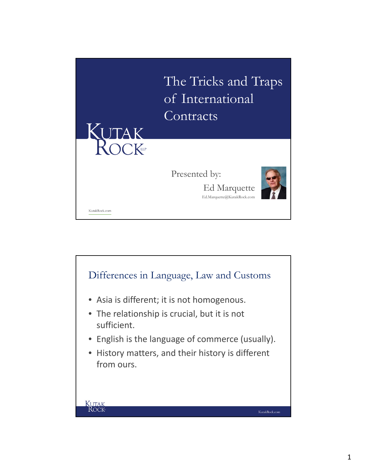

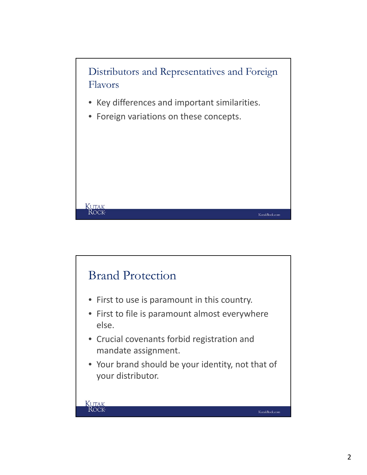

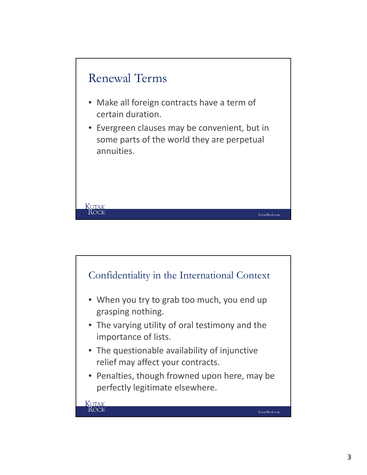

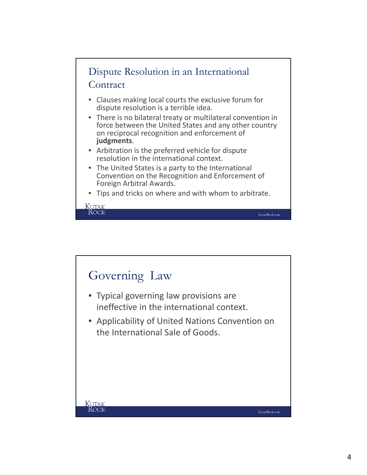